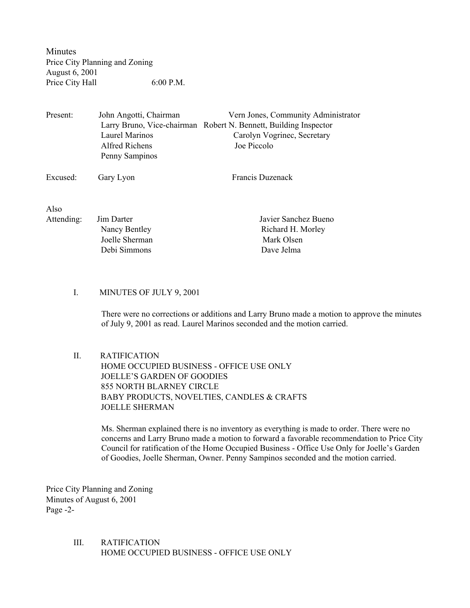Minutes Price City Planning and Zoning August 6, 2001 Price City Hall 6:00 P.M.

Present: John Angotti, Chairman Vern Jones, Community Administrator Larry Bruno, Vice-chairman Robert N. Bennett, Building Inspector Laurel Marinos Carolyn Vogrinec, Secretary Alfred Richens Joe Piccolo Penny Sampinos

Excused: Gary Lyon Francis Duzenack

Also

| Attending: | Jim Darter     | Javier Sanchez Bueno |
|------------|----------------|----------------------|
|            | Nancy Bentley  | Richard H. Morley    |
|            | Joelle Sherman | Mark Olsen           |
|            | Debi Simmons   | Dave Jelma           |
|            |                |                      |

### I. MINUTES OF JULY 9, 2001

There were no corrections or additions and Larry Bruno made a motion to approve the minutes of July 9, 2001 as read. Laurel Marinos seconded and the motion carried.

# II. RATIFICATION

 HOME OCCUPIED BUSINESS - OFFICE USE ONLY JOELLE'S GARDEN OF GOODIES 855 NORTH BLARNEY CIRCLE BABY PRODUCTS, NOVELTIES, CANDLES & CRAFTS JOELLE SHERMAN

Ms. Sherman explained there is no inventory as everything is made to order. There were no concerns and Larry Bruno made a motion to forward a favorable recommendation to Price City Council for ratification of the Home Occupied Business - Office Use Only for Joelle's Garden of Goodies, Joelle Sherman, Owner. Penny Sampinos seconded and the motion carried.

Price City Planning and Zoning Minutes of August 6, 2001 Page -2-

> III. RATIFICATION HOME OCCUPIED BUSINESS - OFFICE USE ONLY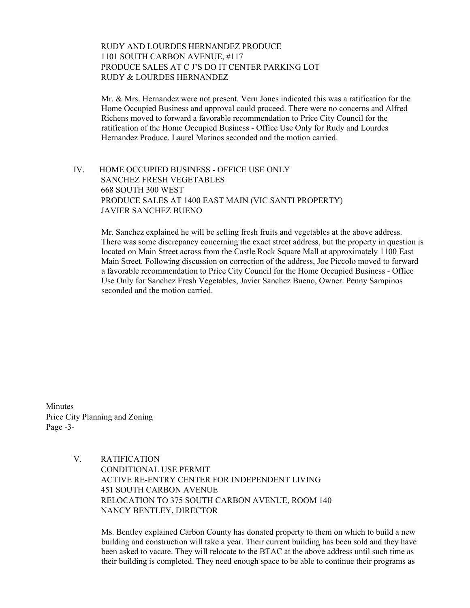### RUDY AND LOURDES HERNANDEZ PRODUCE 1101 SOUTH CARBON AVENUE, #117 PRODUCE SALES AT C J'S DO IT CENTER PARKING LOT RUDY & LOURDES HERNANDEZ

Mr. & Mrs. Hernandez were not present. Vern Jones indicated this was a ratification for the Home Occupied Business and approval could proceed. There were no concerns and Alfred Richens moved to forward a favorable recommendation to Price City Council for the ratification of the Home Occupied Business - Office Use Only for Rudy and Lourdes Hernandez Produce. Laurel Marinos seconded and the motion carried.

 IV. HOME OCCUPIED BUSINESS - OFFICE USE ONLY SANCHEZ FRESH VEGETABLES 668 SOUTH 300 WEST PRODUCE SALES AT 1400 EAST MAIN (VIC SANTI PROPERTY) JAVIER SANCHEZ BUENO

> Mr. Sanchez explained he will be selling fresh fruits and vegetables at the above address. There was some discrepancy concerning the exact street address, but the property in question is located on Main Street across from the Castle Rock Square Mall at approximately 1100 East Main Street. Following discussion on correction of the address, Joe Piccolo moved to forward a favorable recommendation to Price City Council for the Home Occupied Business - Office Use Only for Sanchez Fresh Vegetables, Javier Sanchez Bueno, Owner. Penny Sampinos seconded and the motion carried.

Minutes Price City Planning and Zoning Page -3-

> V. RATIFICATION CONDITIONAL USE PERMIT ACTIVE RE-ENTRY CENTER FOR INDEPENDENT LIVING 451 SOUTH CARBON AVENUE RELOCATION TO 375 SOUTH CARBON AVENUE, ROOM 140 NANCY BENTLEY, DIRECTOR

> > Ms. Bentley explained Carbon County has donated property to them on which to build a new building and construction will take a year. Their current building has been sold and they have been asked to vacate. They will relocate to the BTAC at the above address until such time as their building is completed. They need enough space to be able to continue their programs as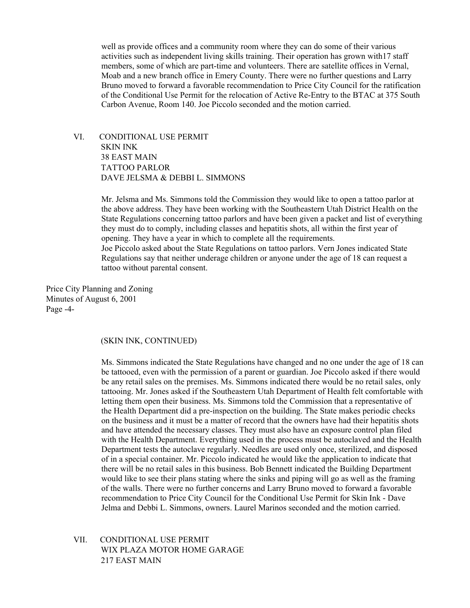well as provide offices and a community room where they can do some of their various activities such as independent living skills training. Their operation has grown with17 staff members, some of which are part-time and volunteers. There are satellite offices in Vernal, Moab and a new branch office in Emery County. There were no further questions and Larry Bruno moved to forward a favorable recommendation to Price City Council for the ratification of the Conditional Use Permit for the relocation of Active Re-Entry to the BTAC at 375 South Carbon Avenue, Room 140. Joe Piccolo seconded and the motion carried.

 VI. CONDITIONAL USE PERMIT SKIN INK 38 EAST MAIN TATTOO PARLOR DAVE JELSMA & DEBBI L. SIMMONS

> Mr. Jelsma and Ms. Simmons told the Commission they would like to open a tattoo parlor at the above address. They have been working with the Southeastern Utah District Health on the State Regulations concerning tattoo parlors and have been given a packet and list of everything they must do to comply, including classes and hepatitis shots, all within the first year of opening. They have a year in which to complete all the requirements. Joe Piccolo asked about the State Regulations on tattoo parlors. Vern Jones indicated State Regulations say that neither underage children or anyone under the age of 18 can request a tattoo without parental consent.

Price City Planning and Zoning Minutes of August 6, 2001 Page -4-

#### (SKIN INK, CONTINUED)

Ms. Simmons indicated the State Regulations have changed and no one under the age of 18 can be tattooed, even with the permission of a parent or guardian. Joe Piccolo asked if there would be any retail sales on the premises. Ms. Simmons indicated there would be no retail sales, only tattooing. Mr. Jones asked if the Southeastern Utah Department of Health felt comfortable with letting them open their business. Ms. Simmons told the Commission that a representative of the Health Department did a pre-inspection on the building. The State makes periodic checks on the business and it must be a matter of record that the owners have had their hepatitis shots and have attended the necessary classes. They must also have an exposure control plan filed with the Health Department. Everything used in the process must be autoclaved and the Health Department tests the autoclave regularly. Needles are used only once, sterilized, and disposed of in a special container. Mr. Piccolo indicated he would like the application to indicate that there will be no retail sales in this business. Bob Bennett indicated the Building Department would like to see their plans stating where the sinks and piping will go as well as the framing of the walls. There were no further concerns and Larry Bruno moved to forward a favorable recommendation to Price City Council for the Conditional Use Permit for Skin Ink - Dave Jelma and Debbi L. Simmons, owners. Laurel Marinos seconded and the motion carried.

 VII. CONDITIONAL USE PERMIT WIX PLAZA MOTOR HOME GARAGE 217 EAST MAIN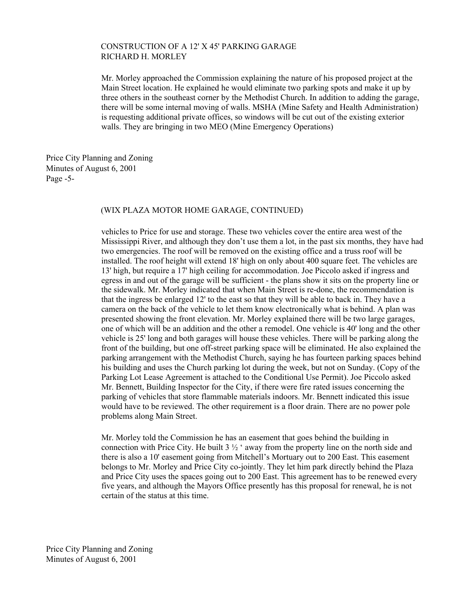### CONSTRUCTION OF A 12' X 45' PARKING GARAGE RICHARD H. MORLEY

Mr. Morley approached the Commission explaining the nature of his proposed project at the Main Street location. He explained he would eliminate two parking spots and make it up by three others in the southeast corner by the Methodist Church. In addition to adding the garage, there will be some internal moving of walls. MSHA (Mine Safety and Health Administration) is requesting additional private offices, so windows will be cut out of the existing exterior walls. They are bringing in two MEO (Mine Emergency Operations)

Price City Planning and Zoning Minutes of August 6, 2001 Page -5-

#### (WIX PLAZA MOTOR HOME GARAGE, CONTINUED)

vehicles to Price for use and storage. These two vehicles cover the entire area west of the Mississippi River, and although they don't use them a lot, in the past six months, they have had two emergencies. The roof will be removed on the existing office and a truss roof will be installed. The roof height will extend 18' high on only about 400 square feet. The vehicles are 13' high, but require a 17' high ceiling for accommodation. Joe Piccolo asked if ingress and egress in and out of the garage will be sufficient - the plans show it sits on the property line or the sidewalk. Mr. Morley indicated that when Main Street is re-done, the recommendation is that the ingress be enlarged 12' to the east so that they will be able to back in. They have a camera on the back of the vehicle to let them know electronically what is behind. A plan was presented showing the front elevation. Mr. Morley explained there will be two large garages, one of which will be an addition and the other a remodel. One vehicle is 40' long and the other vehicle is 25' long and both garages will house these vehicles. There will be parking along the front of the building, but one off-street parking space will be eliminated. He also explained the parking arrangement with the Methodist Church, saying he has fourteen parking spaces behind his building and uses the Church parking lot during the week, but not on Sunday. (Copy of the Parking Lot Lease Agreement is attached to the Conditional Use Permit). Joe Piccolo asked Mr. Bennett, Building Inspector for the City, if there were fire rated issues concerning the parking of vehicles that store flammable materials indoors. Mr. Bennett indicated this issue would have to be reviewed. The other requirement is a floor drain. There are no power pole problems along Main Street.

Mr. Morley told the Commission he has an easement that goes behind the building in connection with Price City. He built  $3 \frac{1}{2}$  ' away from the property line on the north side and there is also a 10' easement going from Mitchell's Mortuary out to 200 East. This easement belongs to Mr. Morley and Price City co-jointly. They let him park directly behind the Plaza and Price City uses the spaces going out to 200 East. This agreement has to be renewed every five years, and although the Mayors Office presently has this proposal for renewal, he is not certain of the status at this time.

Price City Planning and Zoning Minutes of August 6, 2001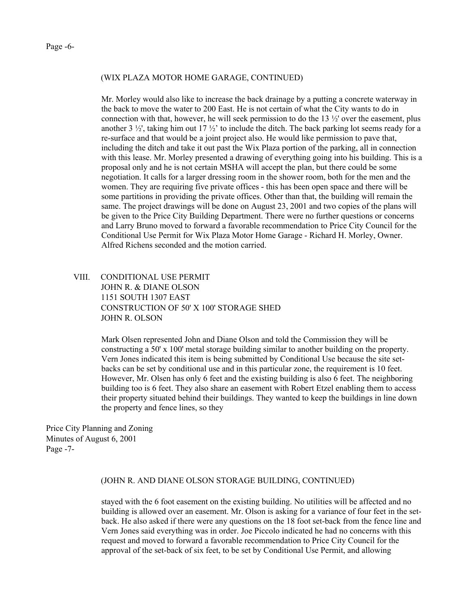#### (WIX PLAZA MOTOR HOME GARAGE, CONTINUED)

Mr. Morley would also like to increase the back drainage by a putting a concrete waterway in the back to move the water to 200 East. He is not certain of what the City wants to do in connection with that, however, he will seek permission to do the  $13 \frac{1}{2}$  over the easement, plus another 3  $\frac{1}{2}$ , taking him out 17  $\frac{1}{2}$  to include the ditch. The back parking lot seems ready for a re-surface and that would be a joint project also. He would like permission to pave that, including the ditch and take it out past the Wix Plaza portion of the parking, all in connection with this lease. Mr. Morley presented a drawing of everything going into his building. This is a proposal only and he is not certain MSHA will accept the plan, but there could be some negotiation. It calls for a larger dressing room in the shower room, both for the men and the women. They are requiring five private offices - this has been open space and there will be some partitions in providing the private offices. Other than that, the building will remain the same. The project drawings will be done on August 23, 2001 and two copies of the plans will be given to the Price City Building Department. There were no further questions or concerns and Larry Bruno moved to forward a favorable recommendation to Price City Council for the Conditional Use Permit for Wix Plaza Motor Home Garage - Richard H. Morley, Owner. Alfred Richens seconded and the motion carried.

## VIII. CONDITIONAL USE PERMIT JOHN R. & DIANE OLSON 1151 SOUTH 1307 EAST CONSTRUCTION OF 50' X 100' STORAGE SHED JOHN R. OLSON

Mark Olsen represented John and Diane Olson and told the Commission they will be constructing a 50' x 100' metal storage building similar to another building on the property. Vern Jones indicated this item is being submitted by Conditional Use because the site setbacks can be set by conditional use and in this particular zone, the requirement is 10 feet. However, Mr. Olsen has only 6 feet and the existing building is also 6 feet. The neighboring building too is 6 feet. They also share an easement with Robert Etzel enabling them to access their property situated behind their buildings. They wanted to keep the buildings in line down the property and fence lines, so they

Price City Planning and Zoning Minutes of August 6, 2001 Page -7-

#### (JOHN R. AND DIANE OLSON STORAGE BUILDING, CONTINUED)

stayed with the 6 foot easement on the existing building. No utilities will be affected and no building is allowed over an easement. Mr. Olson is asking for a variance of four feet in the setback. He also asked if there were any questions on the 18 foot set-back from the fence line and Vern Jones said everything was in order. Joe Piccolo indicated he had no concerns with this request and moved to forward a favorable recommendation to Price City Council for the approval of the set-back of six feet, to be set by Conditional Use Permit, and allowing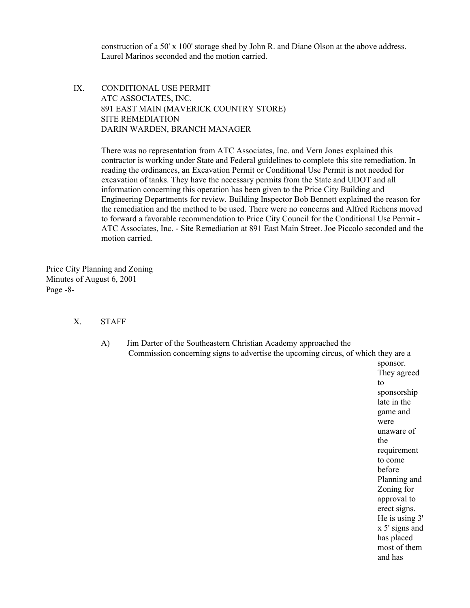construction of a 50' x 100' storage shed by John R. and Diane Olson at the above address. Laurel Marinos seconded and the motion carried.

 IX. CONDITIONAL USE PERMIT ATC ASSOCIATES, INC. 891 EAST MAIN (MAVERICK COUNTRY STORE) SITE REMEDIATION DARIN WARDEN, BRANCH MANAGER

> There was no representation from ATC Associates, Inc. and Vern Jones explained this contractor is working under State and Federal guidelines to complete this site remediation. In reading the ordinances, an Excavation Permit or Conditional Use Permit is not needed for excavation of tanks. They have the necessary permits from the State and UDOT and all information concerning this operation has been given to the Price City Building and Engineering Departments for review. Building Inspector Bob Bennett explained the reason for the remediation and the method to be used. There were no concerns and Alfred Richens moved to forward a favorable recommendation to Price City Council for the Conditional Use Permit - ATC Associates, Inc. - Site Remediation at 891 East Main Street. Joe Piccolo seconded and the motion carried.

Price City Planning and Zoning Minutes of August 6, 2001 Page -8-

- X. STAFF
	- A) Jim Darter of the Southeastern Christian Academy approached the Commission concerning signs to advertise the upcoming circus, of which they are a

sponsor. They agreed to sponsorship late in the game and were unaware of the requirement to come before Planning and Zoning for approval to erect signs. He is using 3' x 5' signs and has placed most of them and has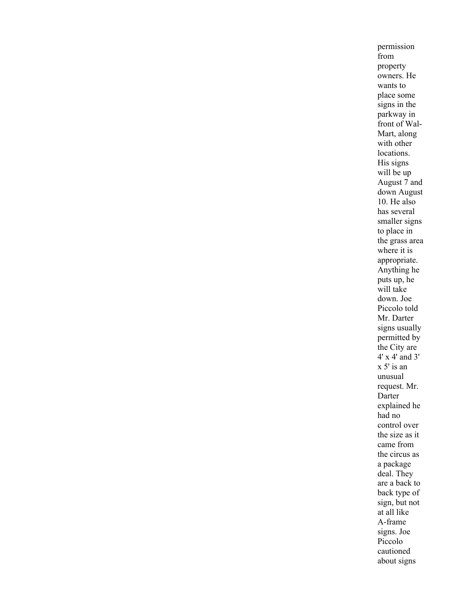permission from property owners. He wants to place some signs in the parkway in front of Wal-Mart, along with other locations. His signs will be up August 7 and down August 10. He also has several smaller signs to place in the grass area where it is appropriate. Anything he puts up, he will take down. Joe Piccolo told Mr. Darter signs usually permitted by the City are 4' x 4' and 3' x 5' is an unusual request. Mr. Darter explained he had no control over the size as it came from the circus as a package deal. They are a back to back type of sign, but not at all like A-frame signs. Joe Piccolo cautioned about signs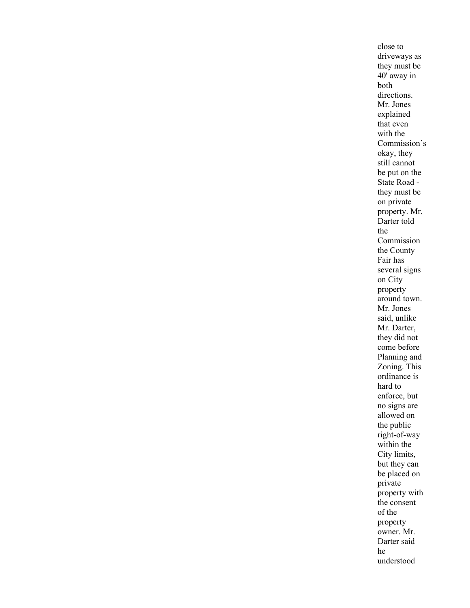close to driveways as they must be 40' away in both directions. Mr. Jones explained that even with the Commission's okay, they still cannot be put on the State Road they must be on private property. Mr. Darter told the Commission the County Fair has several signs on City property around town. Mr. Jones said, unlike Mr. Darter, they did not come before Planning and Zoning. This ordinance is hard to enforce, but no signs are allowed on the public right-of-way within the City limits, but they can be placed on private property with the consent of the property owner. Mr. Darter said he understood